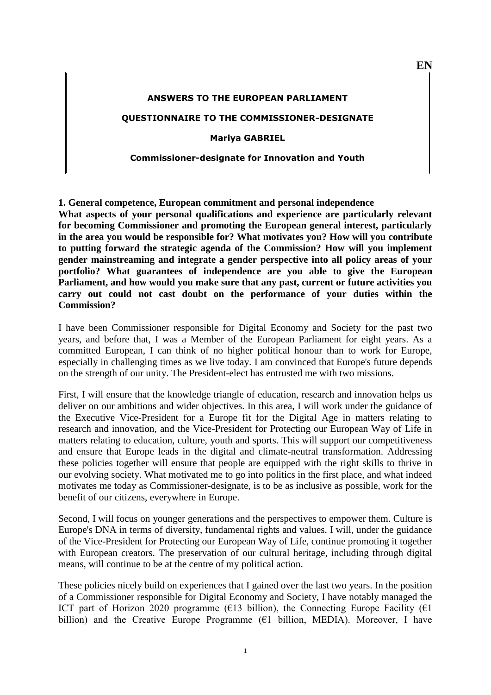#### **ANSWERS TO THE EUROPEAN PARLIAMENT**

#### **QUESTIONNAIRE TO THE COMMISSIONER-DESIGNATE**

**Mariya GABRIEL**

#### **Commissioner-designate for Innovation and Youth**

**1. General competence, European commitment and personal independence What aspects of your personal qualifications and experience are particularly relevant for becoming Commissioner and promoting the European general interest, particularly in the area you would be responsible for? What motivates you? How will you contribute to putting forward the strategic agenda of the Commission? How will you implement gender mainstreaming and integrate a gender perspective into all policy areas of your portfolio? What guarantees of independence are you able to give the European Parliament, and how would you make sure that any past, current or future activities you carry out could not cast doubt on the performance of your duties within the Commission?**

I have been Commissioner responsible for Digital Economy and Society for the past two years, and before that, I was a Member of the European Parliament for eight years. As a committed European, I can think of no higher political honour than to work for Europe, especially in challenging times as we live today. I am convinced that Europe's future depends on the strength of our unity. The President-elect has entrusted me with two missions.

First, I will ensure that the knowledge triangle of education, research and innovation helps us deliver on our ambitions and wider objectives. In this area, I will work under the guidance of the Executive Vice-President for a Europe fit for the Digital Age in matters relating to research and innovation, and the Vice-President for Protecting our European Way of Life in matters relating to education, culture, youth and sports. This will support our competitiveness and ensure that Europe leads in the digital and climate-neutral transformation. Addressing these policies together will ensure that people are equipped with the right skills to thrive in our evolving society. What motivated me to go into politics in the first place, and what indeed motivates me today as Commissioner-designate, is to be as inclusive as possible, work for the benefit of our citizens, everywhere in Europe.

Second, I will focus on younger generations and the perspectives to empower them. Culture is Europe's DNA in terms of diversity, fundamental rights and values. I will, under the guidance of the Vice-President for Protecting our European Way of Life, continue promoting it together with European creators. The preservation of our cultural heritage, including through digital means, will continue to be at the centre of my political action.

These policies nicely build on experiences that I gained over the last two years. In the position of a Commissioner responsible for Digital Economy and Society, I have notably managed the ICT part of Horizon 2020 programme ( $\epsilon$ 13 billion), the Connecting Europe Facility ( $\epsilon$ 1 billion) and the Creative Europe Programme  $(61 \text{ billion}, \text{MEDIA})$ . Moreover, I have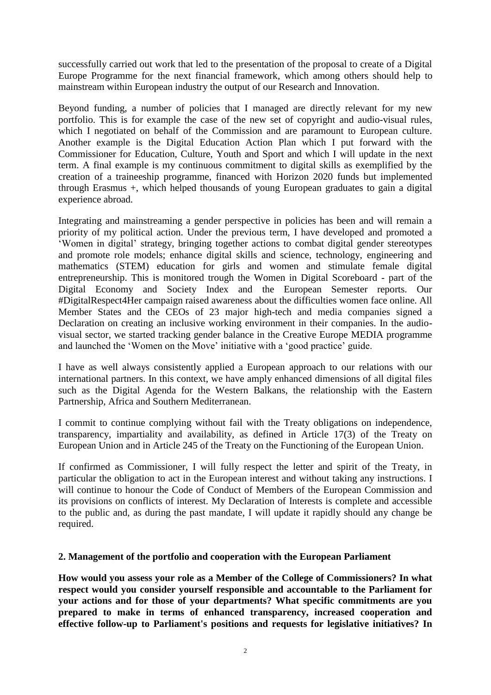successfully carried out work that led to the presentation of the proposal to create of a Digital Europe Programme for the next financial framework, which among others should help to mainstream within European industry the output of our Research and Innovation.

Beyond funding, a number of policies that I managed are directly relevant for my new portfolio. This is for example the case of the new set of copyright and audio-visual rules, which I negotiated on behalf of the Commission and are paramount to European culture. Another example is the Digital Education Action Plan which I put forward with the Commissioner for Education, Culture, Youth and Sport and which I will update in the next term. A final example is my continuous commitment to digital skills as exemplified by the creation of a traineeship programme, financed with Horizon 2020 funds but implemented through Erasmus +, which helped thousands of young European graduates to gain a digital experience abroad.

Integrating and mainstreaming a gender perspective in policies has been and will remain a priority of my political action. Under the previous term, I have developed and promoted a 'Women in digital' strategy, bringing together actions to combat digital gender stereotypes and promote role models; enhance digital skills and science, technology, engineering and mathematics (STEM) education for girls and women and stimulate female digital entrepreneurship. This is monitored trough the Women in Digital Scoreboard - part of the Digital Economy and Society Index and the European Semester reports. Our #DigitalRespect4Her campaign raised awareness about the difficulties women face online. All Member States and the CEOs of 23 major high-tech and media companies signed a Declaration on creating an inclusive working environment in their companies. In the audiovisual sector, we started tracking gender balance in the Creative Europe MEDIA programme and launched the 'Women on the Move' initiative with a 'good practice' guide.

I have as well always consistently applied a European approach to our relations with our international partners. In this context, we have amply enhanced dimensions of all digital files such as the Digital Agenda for the Western Balkans, the relationship with the Eastern Partnership, Africa and Southern Mediterranean.

I commit to continue complying without fail with the Treaty obligations on independence, transparency, impartiality and availability, as defined in Article 17(3) of the Treaty on European Union and in Article 245 of the Treaty on the Functioning of the European Union.

If confirmed as Commissioner, I will fully respect the letter and spirit of the Treaty, in particular the obligation to act in the European interest and without taking any instructions. I will continue to honour the Code of Conduct of Members of the European Commission and its provisions on conflicts of interest. My Declaration of Interests is complete and accessible to the public and, as during the past mandate, I will update it rapidly should any change be required.

### **2. Management of the portfolio and cooperation with the European Parliament**

**How would you assess your role as a Member of the College of Commissioners? In what respect would you consider yourself responsible and accountable to the Parliament for your actions and for those of your departments? What specific commitments are you prepared to make in terms of enhanced transparency, increased cooperation and effective follow-up to Parliament's positions and requests for legislative initiatives? In**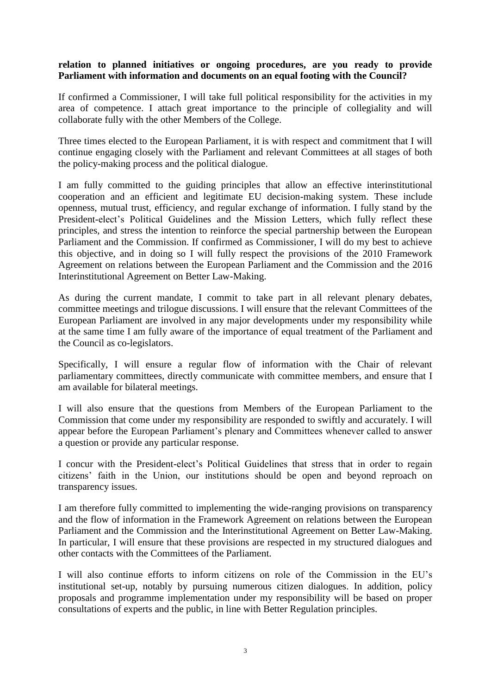# **relation to planned initiatives or ongoing procedures, are you ready to provide Parliament with information and documents on an equal footing with the Council?**

If confirmed a Commissioner, I will take full political responsibility for the activities in my area of competence. I attach great importance to the principle of collegiality and will collaborate fully with the other Members of the College.

Three times elected to the European Parliament, it is with respect and commitment that I will continue engaging closely with the Parliament and relevant Committees at all stages of both the policy-making process and the political dialogue.

I am fully committed to the guiding principles that allow an effective interinstitutional cooperation and an efficient and legitimate EU decision-making system. These include openness, mutual trust, efficiency, and regular exchange of information. I fully stand by the President-elect's Political Guidelines and the Mission Letters, which fully reflect these principles, and stress the intention to reinforce the special partnership between the European Parliament and the Commission. If confirmed as Commissioner, I will do my best to achieve this objective, and in doing so I will fully respect the provisions of the 2010 Framework Agreement on relations between the European Parliament and the Commission and the 2016 Interinstitutional Agreement on Better Law-Making.

As during the current mandate, I commit to take part in all relevant plenary debates, committee meetings and trilogue discussions. I will ensure that the relevant Committees of the European Parliament are involved in any major developments under my responsibility while at the same time I am fully aware of the importance of equal treatment of the Parliament and the Council as co-legislators.

Specifically, I will ensure a regular flow of information with the Chair of relevant parliamentary committees, directly communicate with committee members, and ensure that I am available for bilateral meetings.

I will also ensure that the questions from Members of the European Parliament to the Commission that come under my responsibility are responded to swiftly and accurately. I will appear before the European Parliament's plenary and Committees whenever called to answer a question or provide any particular response.

I concur with the President-elect's Political Guidelines that stress that in order to regain citizens' faith in the Union, our institutions should be open and beyond reproach on transparency issues.

I am therefore fully committed to implementing the wide-ranging provisions on transparency and the flow of information in the Framework Agreement on relations between the European Parliament and the Commission and the Interinstitutional Agreement on Better Law-Making. In particular, I will ensure that these provisions are respected in my structured dialogues and other contacts with the Committees of the Parliament.

I will also continue efforts to inform citizens on role of the Commission in the EU's institutional set-up, notably by pursuing numerous citizen dialogues. In addition, policy proposals and programme implementation under my responsibility will be based on proper consultations of experts and the public, in line with Better Regulation principles.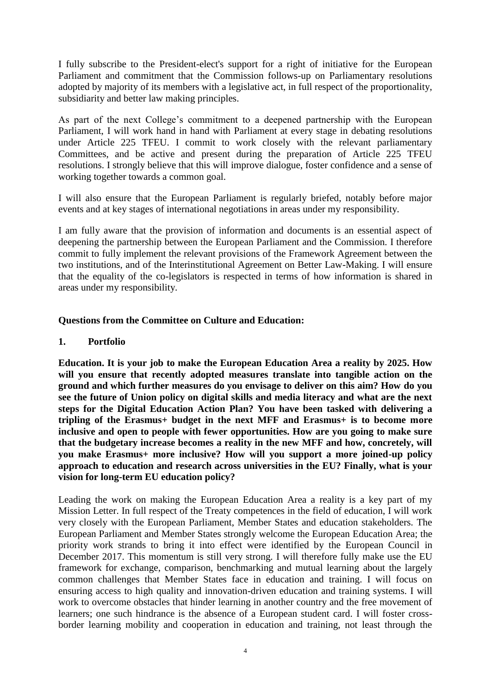I fully subscribe to the President-elect's support for a right of initiative for the European Parliament and commitment that the Commission follows-up on Parliamentary resolutions adopted by majority of its members with a legislative act, in full respect of the proportionality, subsidiarity and better law making principles.

As part of the next College's commitment to a deepened partnership with the European Parliament, I will work hand in hand with Parliament at every stage in debating resolutions under Article 225 TFEU. I commit to work closely with the relevant parliamentary Committees, and be active and present during the preparation of Article 225 TFEU resolutions. I strongly believe that this will improve dialogue, foster confidence and a sense of working together towards a common goal.

I will also ensure that the European Parliament is regularly briefed, notably before major events and at key stages of international negotiations in areas under my responsibility.

I am fully aware that the provision of information and documents is an essential aspect of deepening the partnership between the European Parliament and the Commission. I therefore commit to fully implement the relevant provisions of the Framework Agreement between the two institutions, and of the Interinstitutional Agreement on Better Law-Making. I will ensure that the equality of the co-legislators is respected in terms of how information is shared in areas under my responsibility.

# **Questions from the Committee on Culture and Education:**

### **1. Portfolio**

**Education. It is your job to make the European Education Area a reality by 2025. How will you ensure that recently adopted measures translate into tangible action on the ground and which further measures do you envisage to deliver on this aim? How do you see the future of Union policy on digital skills and media literacy and what are the next steps for the Digital Education Action Plan? You have been tasked with delivering a tripling of the Erasmus+ budget in the next MFF and Erasmus+ is to become more inclusive and open to people with fewer opportunities. How are you going to make sure that the budgetary increase becomes a reality in the new MFF and how, concretely, will you make Erasmus+ more inclusive? How will you support a more joined-up policy approach to education and research across universities in the EU? Finally, what is your vision for long-term EU education policy?** 

Leading the work on making the European Education Area a reality is a key part of my Mission Letter. In full respect of the Treaty competences in the field of education, I will work very closely with the European Parliament, Member States and education stakeholders. The European Parliament and Member States strongly welcome the European Education Area; the priority work strands to bring it into effect were identified by the European Council in December 2017. This momentum is still very strong. I will therefore fully make use the EU framework for exchange, comparison, benchmarking and mutual learning about the largely common challenges that Member States face in education and training. I will focus on ensuring access to high quality and innovation-driven education and training systems. I will work to overcome obstacles that hinder learning in another country and the free movement of learners; one such hindrance is the absence of a European student card. I will foster crossborder learning mobility and cooperation in education and training, not least through the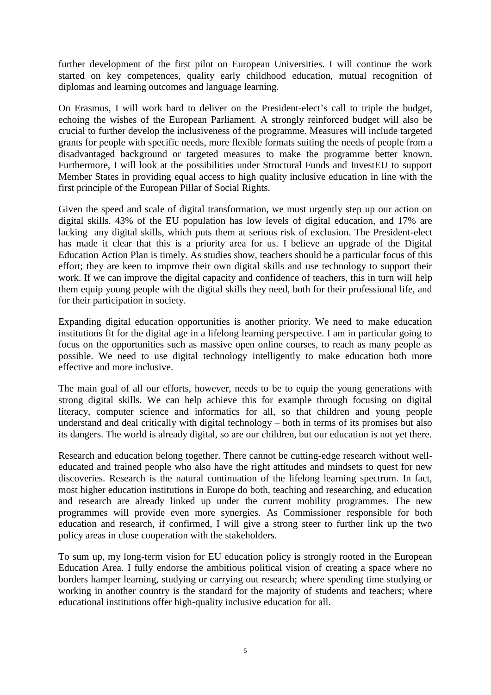further development of the first pilot on European Universities. I will continue the work started on key competences, quality early childhood education, mutual recognition of diplomas and learning outcomes and language learning.

On Erasmus, I will work hard to deliver on the President-elect's call to triple the budget, echoing the wishes of the European Parliament. A strongly reinforced budget will also be crucial to further develop the inclusiveness of the programme. Measures will include targeted grants for people with specific needs, more flexible formats suiting the needs of people from a disadvantaged background or targeted measures to make the programme better known. Furthermore, I will look at the possibilities under Structural Funds and InvestEU to support Member States in providing equal access to high quality inclusive education in line with the first principle of the European Pillar of Social Rights.

Given the speed and scale of digital transformation, we must urgently step up our action on digital skills. 43% of the EU population has low levels of digital education, and 17% are lacking any digital skills, which puts them at serious risk of exclusion. The President-elect has made it clear that this is a priority area for us. I believe an upgrade of the Digital Education Action Plan is timely. As studies show, teachers should be a particular focus of this effort; they are keen to improve their own digital skills and use technology to support their work. If we can improve the digital capacity and confidence of teachers, this in turn will help them equip young people with the digital skills they need, both for their professional life, and for their participation in society.

Expanding digital education opportunities is another priority. We need to make education institutions fit for the digital age in a lifelong learning perspective. I am in particular going to focus on the opportunities such as massive open online courses, to reach as many people as possible. We need to use digital technology intelligently to make education both more effective and more inclusive.

The main goal of all our efforts, however, needs to be to equip the young generations with strong digital skills. We can help achieve this for example through focusing on digital literacy, computer science and informatics for all, so that children and young people understand and deal critically with digital technology – both in terms of its promises but also its dangers. The world is already digital, so are our children, but our education is not yet there.

Research and education belong together. There cannot be cutting-edge research without welleducated and trained people who also have the right attitudes and mindsets to quest for new discoveries. Research is the natural continuation of the lifelong learning spectrum. In fact, most higher education institutions in Europe do both, teaching and researching, and education and research are already linked up under the current mobility programmes. The new programmes will provide even more synergies. As Commissioner responsible for both education and research, if confirmed, I will give a strong steer to further link up the two policy areas in close cooperation with the stakeholders.

To sum up, my long-term vision for EU education policy is strongly rooted in the European Education Area. I fully endorse the ambitious political vision of creating a space where no borders hamper learning, studying or carrying out research; where spending time studying or working in another country is the standard for the majority of students and teachers; where educational institutions offer high-quality inclusive education for all.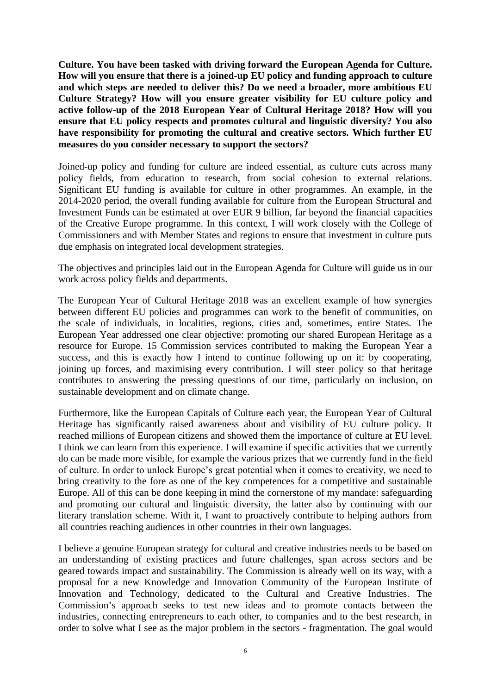**Culture. You have been tasked with driving forward the European Agenda for Culture. How will you ensure that there is a joined-up EU policy and funding approach to culture and which steps are needed to deliver this? Do we need a broader, more ambitious EU Culture Strategy? How will you ensure greater visibility for EU culture policy and active follow-up of the 2018 European Year of Cultural Heritage 2018? How will you ensure that EU policy respects and promotes cultural and linguistic diversity? You also have responsibility for promoting the cultural and creative sectors. Which further EU measures do you consider necessary to support the sectors?** 

Joined-up policy and funding for culture are indeed essential, as culture cuts across many policy fields, from education to research, from social cohesion to external relations. Significant EU funding is available for culture in other programmes. An example, in the 2014-2020 period, the overall funding available for culture from the European Structural and Investment Funds can be estimated at over EUR 9 billion, far beyond the financial capacities of the Creative Europe programme. In this context, I will work closely with the College of Commissioners and with Member States and regions to ensure that investment in culture puts due emphasis on integrated local development strategies.

The objectives and principles laid out in the European Agenda for Culture will guide us in our work across policy fields and departments.

The European Year of Cultural Heritage 2018 was an excellent example of how synergies between different EU policies and programmes can work to the benefit of communities, on the scale of individuals, in localities, regions, cities and, sometimes, entire States. The European Year addressed one clear objective: promoting our shared European Heritage as a resource for Europe. 15 Commission services contributed to making the European Year a success, and this is exactly how I intend to continue following up on it: by cooperating, joining up forces, and maximising every contribution. I will steer policy so that heritage contributes to answering the pressing questions of our time, particularly on inclusion, on sustainable development and on climate change.

Furthermore, like the European Capitals of Culture each year, the European Year of Cultural Heritage has significantly raised awareness about and visibility of EU culture policy. It reached millions of European citizens and showed them the importance of culture at EU level. I think we can learn from this experience. I will examine if specific activities that we currently do can be made more visible, for example the various prizes that we currently fund in the field of culture. In order to unlock Europe's great potential when it comes to creativity, we need to bring creativity to the fore as one of the key competences for a competitive and sustainable Europe. All of this can be done keeping in mind the cornerstone of my mandate: safeguarding and promoting our cultural and linguistic diversity, the latter also by continuing with our literary translation scheme. With it, I want to proactively contribute to helping authors from all countries reaching audiences in other countries in their own languages.

I believe a genuine European strategy for cultural and creative industries needs to be based on an understanding of existing practices and future challenges, span across sectors and be geared towards impact and sustainability. The Commission is already well on its way, with a proposal for a new Knowledge and Innovation Community of the European Institute of Innovation and Technology, dedicated to the Cultural and Creative Industries. The Commission's approach seeks to test new ideas and to promote contacts between the industries, connecting entrepreneurs to each other, to companies and to the best research, in order to solve what I see as the major problem in the sectors - fragmentation. The goal would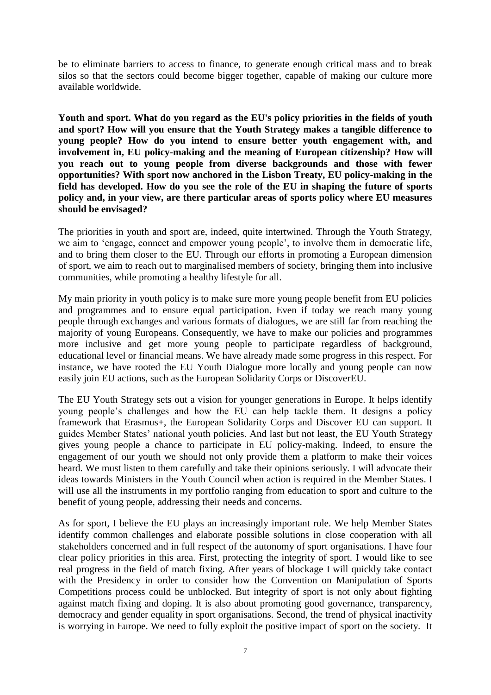be to eliminate barriers to access to finance, to generate enough critical mass and to break silos so that the sectors could become bigger together, capable of making our culture more available worldwide.

**Youth and sport. What do you regard as the EU's policy priorities in the fields of youth and sport? How will you ensure that the Youth Strategy makes a tangible difference to young people? How do you intend to ensure better youth engagement with, and involvement in, EU policy-making and the meaning of European citizenship? How will you reach out to young people from diverse backgrounds and those with fewer opportunities? With sport now anchored in the Lisbon Treaty, EU policy-making in the field has developed. How do you see the role of the EU in shaping the future of sports policy and, in your view, are there particular areas of sports policy where EU measures should be envisaged?**

The priorities in youth and sport are, indeed, quite intertwined. Through the Youth Strategy, we aim to 'engage, connect and empower young people', to involve them in democratic life, and to bring them closer to the EU. Through our efforts in promoting a European dimension of sport, we aim to reach out to marginalised members of society, bringing them into inclusive communities, while promoting a healthy lifestyle for all.

My main priority in youth policy is to make sure more young people benefit from EU policies and programmes and to ensure equal participation. Even if today we reach many young people through exchanges and various formats of dialogues, we are still far from reaching the majority of young Europeans. Consequently, we have to make our policies and programmes more inclusive and get more young people to participate regardless of background, educational level or financial means. We have already made some progress in this respect. For instance, we have rooted the EU Youth Dialogue more locally and young people can now easily join EU actions, such as the European Solidarity Corps or DiscoverEU.

The EU Youth Strategy sets out a vision for younger generations in Europe. It helps identify young people's challenges and how the EU can help tackle them. It designs a policy framework that Erasmus+, the European Solidarity Corps and Discover EU can support. It guides Member States' national youth policies. And last but not least, the EU Youth Strategy gives young people a chance to participate in EU policy-making. Indeed, to ensure the engagement of our youth we should not only provide them a platform to make their voices heard. We must listen to them carefully and take their opinions seriously. I will advocate their ideas towards Ministers in the Youth Council when action is required in the Member States. I will use all the instruments in my portfolio ranging from education to sport and culture to the benefit of young people, addressing their needs and concerns.

As for sport, I believe the EU plays an increasingly important role. We help Member States identify common challenges and elaborate possible solutions in close cooperation with all stakeholders concerned and in full respect of the autonomy of sport organisations. I have four clear policy priorities in this area. First, protecting the integrity of sport. I would like to see real progress in the field of match fixing. After years of blockage I will quickly take contact with the Presidency in order to consider how the Convention on Manipulation of Sports Competitions process could be unblocked. But integrity of sport is not only about fighting against match fixing and doping. It is also about promoting good governance, transparency, democracy and gender equality in sport organisations. Second, the trend of physical inactivity is worrying in Europe. We need to fully exploit the positive impact of sport on the society. It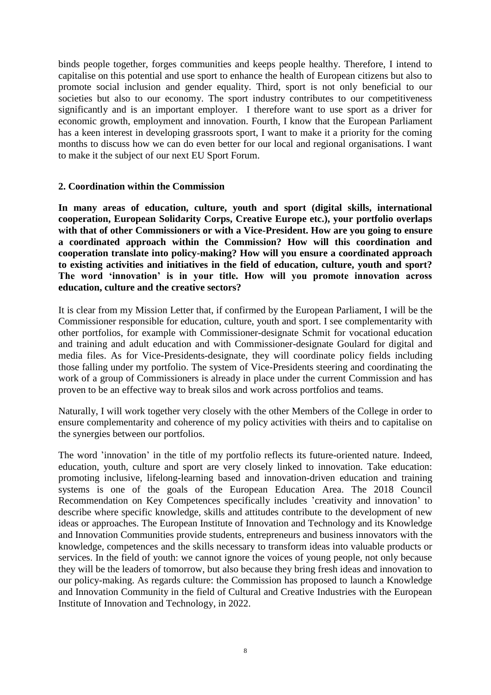binds people together, forges communities and keeps people healthy. Therefore, I intend to capitalise on this potential and use sport to enhance the health of European citizens but also to promote social inclusion and gender equality. Third, sport is not only beneficial to our societies but also to our economy. The sport industry contributes to our competitiveness significantly and is an important employer. I therefore want to use sport as a driver for economic growth, employment and innovation. Fourth, I know that the European Parliament has a keen interest in developing grassroots sport, I want to make it a priority for the coming months to discuss how we can do even better for our local and regional organisations. I want to make it the subject of our next EU Sport Forum.

### **2. Coordination within the Commission**

**In many areas of education, culture, youth and sport (digital skills, international cooperation, European Solidarity Corps, Creative Europe etc.), your portfolio overlaps with that of other Commissioners or with a Vice-President. How are you going to ensure a coordinated approach within the Commission? How will this coordination and cooperation translate into policy-making? How will you ensure a coordinated approach to existing activities and initiatives in the field of education, culture, youth and sport? The word 'innovation' is in your title. How will you promote innovation across education, culture and the creative sectors?** 

It is clear from my Mission Letter that, if confirmed by the European Parliament, I will be the Commissioner responsible for education, culture, youth and sport. I see complementarity with other portfolios, for example with Commissioner-designate Schmit for vocational education and training and adult education and with Commissioner-designate Goulard for digital and media files. As for Vice-Presidents-designate, they will coordinate policy fields including those falling under my portfolio. The system of Vice-Presidents steering and coordinating the work of a group of Commissioners is already in place under the current Commission and has proven to be an effective way to break silos and work across portfolios and teams.

Naturally, I will work together very closely with the other Members of the College in order to ensure complementarity and coherence of my policy activities with theirs and to capitalise on the synergies between our portfolios.

The word 'innovation' in the title of my portfolio reflects its future-oriented nature. Indeed, education, youth, culture and sport are very closely linked to innovation. Take education: promoting inclusive, lifelong-learning based and innovation-driven education and training systems is one of the goals of the European Education Area. The 2018 Council Recommendation on Key Competences specifically includes 'creativity and innovation' to describe where specific knowledge, skills and attitudes contribute to the development of new ideas or approaches. The European Institute of Innovation and Technology and its Knowledge and Innovation Communities provide students, entrepreneurs and business innovators with the knowledge, competences and the skills necessary to transform ideas into valuable products or services. In the field of youth: we cannot ignore the voices of young people, not only because they will be the leaders of tomorrow, but also because they bring fresh ideas and innovation to our policy-making. As regards culture: the Commission has proposed to launch a Knowledge and Innovation Community in the field of Cultural and Creative Industries with the European Institute of Innovation and Technology, in 2022.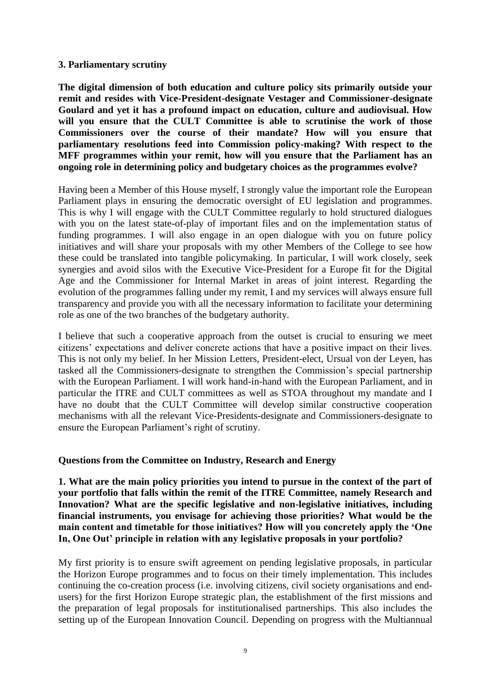### **3. Parliamentary scrutiny**

**The digital dimension of both education and culture policy sits primarily outside your remit and resides with Vice-President-designate Vestager and Commissioner-designate Goulard and yet it has a profound impact on education, culture and audiovisual. How will you ensure that the CULT Committee is able to scrutinise the work of those Commissioners over the course of their mandate? How will you ensure that parliamentary resolutions feed into Commission policy-making? With respect to the MFF programmes within your remit, how will you ensure that the Parliament has an ongoing role in determining policy and budgetary choices as the programmes evolve?**

Having been a Member of this House myself, I strongly value the important role the European Parliament plays in ensuring the democratic oversight of EU legislation and programmes. This is why I will engage with the CULT Committee regularly to hold structured dialogues with you on the latest state-of-play of important files and on the implementation status of funding programmes. I will also engage in an open dialogue with you on future policy initiatives and will share your proposals with my other Members of the College to see how these could be translated into tangible policymaking. In particular, I will work closely, seek synergies and avoid silos with the Executive Vice-President for a Europe fit for the Digital Age and the Commissioner for Internal Market in areas of joint interest. Regarding the evolution of the programmes falling under my remit, I and my services will always ensure full transparency and provide you with all the necessary information to facilitate your determining role as one of the two branches of the budgetary authority.

I believe that such a cooperative approach from the outset is crucial to ensuring we meet citizens' expectations and deliver concrete actions that have a positive impact on their lives. This is not only my belief. In her Mission Letters, President-elect, Ursual von der Leyen, has tasked all the Commissioners-designate to strengthen the Commission's special partnership with the European Parliament. I will work hand-in-hand with the European Parliament, and in particular the ITRE and CULT committees as well as STOA throughout my mandate and I have no doubt that the CULT Committee will develop similar constructive cooperation mechanisms with all the relevant Vice-Presidents-designate and Commissioners-designate to ensure the European Parliament's right of scrutiny.

#### **Questions from the Committee on Industry, Research and Energy**

**1. What are the main policy priorities you intend to pursue in the context of the part of your portfolio that falls within the remit of the ITRE Committee, namely Research and Innovation? What are the specific legislative and non-legislative initiatives, including financial instruments, you envisage for achieving those priorities? What would be the main content and timetable for those initiatives? How will you concretely apply the 'One In, One Out' principle in relation with any legislative proposals in your portfolio?** 

My first priority is to ensure swift agreement on pending legislative proposals, in particular the Horizon Europe programmes and to focus on their timely implementation. This includes continuing the co-creation process (i.e. involving citizens, civil society organisations and endusers) for the first Horizon Europe strategic plan, the establishment of the first missions and the preparation of legal proposals for institutionalised partnerships. This also includes the setting up of the European Innovation Council. Depending on progress with the Multiannual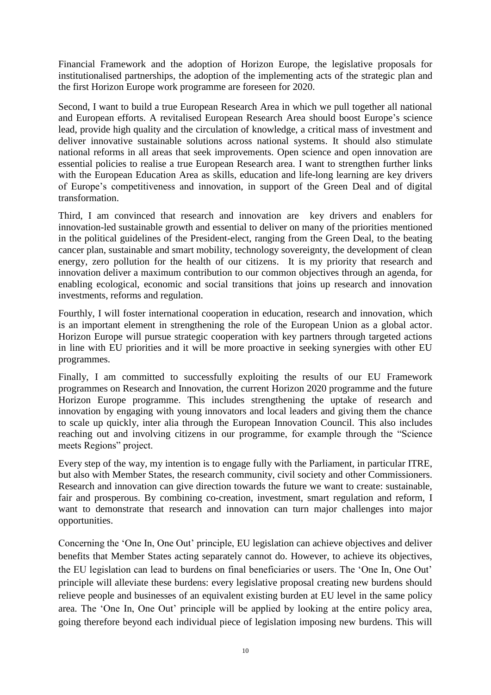Financial Framework and the adoption of Horizon Europe, the legislative proposals for institutionalised partnerships, the adoption of the implementing acts of the strategic plan and the first Horizon Europe work programme are foreseen for 2020.

Second, I want to build a true European Research Area in which we pull together all national and European efforts. A revitalised European Research Area should boost Europe's science lead, provide high quality and the circulation of knowledge, a critical mass of investment and deliver innovative sustainable solutions across national systems. It should also stimulate national reforms in all areas that seek improvements. Open science and open innovation are essential policies to realise a true European Research area. I want to strengthen further links with the European Education Area as skills, education and life-long learning are key drivers of Europe's competitiveness and innovation, in support of the Green Deal and of digital transformation.

Third, I am convinced that research and innovation are key drivers and enablers for innovation-led sustainable growth and essential to deliver on many of the priorities mentioned in the political guidelines of the President-elect, ranging from the Green Deal, to the beating cancer plan, sustainable and smart mobility, technology sovereignty, the development of clean energy, zero pollution for the health of our citizens. It is my priority that research and innovation deliver a maximum contribution to our common objectives through an agenda, for enabling ecological, economic and social transitions that joins up research and innovation investments, reforms and regulation.

Fourthly, I will foster international cooperation in education, research and innovation, which is an important element in strengthening the role of the European Union as a global actor. Horizon Europe will pursue strategic cooperation with key partners through targeted actions in line with EU priorities and it will be more proactive in seeking synergies with other EU programmes.

Finally, I am committed to successfully exploiting the results of our EU Framework programmes on Research and Innovation, the current Horizon 2020 programme and the future Horizon Europe programme. This includes strengthening the uptake of research and innovation by engaging with young innovators and local leaders and giving them the chance to scale up quickly, inter alia through the European Innovation Council. This also includes reaching out and involving citizens in our programme, for example through the "Science meets Regions" project.

Every step of the way, my intention is to engage fully with the Parliament, in particular ITRE, but also with Member States, the research community, civil society and other Commissioners. Research and innovation can give direction towards the future we want to create: sustainable, fair and prosperous. By combining co-creation, investment, smart regulation and reform, I want to demonstrate that research and innovation can turn major challenges into major opportunities.

Concerning the 'One In, One Out' principle, EU legislation can achieve objectives and deliver benefits that Member States acting separately cannot do. However, to achieve its objectives, the EU legislation can lead to burdens on final beneficiaries or users. The 'One In, One Out' principle will alleviate these burdens: every legislative proposal creating new burdens should relieve people and businesses of an equivalent existing burden at EU level in the same policy area. The 'One In, One Out' principle will be applied by looking at the entire policy area, going therefore beyond each individual piece of legislation imposing new burdens. This will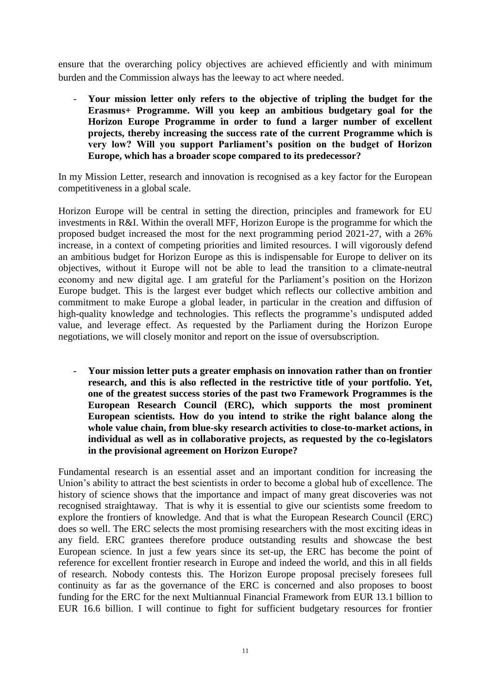ensure that the overarching policy objectives are achieved efficiently and with minimum burden and the Commission always has the leeway to act where needed.

- **Your mission letter only refers to the objective of tripling the budget for the Erasmus+ Programme. Will you keep an ambitious budgetary goal for the Horizon Europe Programme in order to fund a larger number of excellent projects, thereby increasing the success rate of the current Programme which is very low? Will you support Parliament's position on the budget of Horizon Europe, which has a broader scope compared to its predecessor?**

In my Mission Letter, research and innovation is recognised as a key factor for the European competitiveness in a global scale.

Horizon Europe will be central in setting the direction, principles and framework for EU investments in R&I. Within the overall MFF, Horizon Europe is the programme for which the proposed budget increased the most for the next programming period 2021-27, with a 26% increase, in a context of competing priorities and limited resources. I will vigorously defend an ambitious budget for Horizon Europe as this is indispensable for Europe to deliver on its objectives, without it Europe will not be able to lead the transition to a climate-neutral economy and new digital age. I am grateful for the Parliament's position on the Horizon Europe budget. This is the largest ever budget which reflects our collective ambition and commitment to make Europe a global leader, in particular in the creation and diffusion of high-quality knowledge and technologies. This reflects the programme's undisputed added value, and leverage effect. As requested by the Parliament during the Horizon Europe negotiations, we will closely monitor and report on the issue of oversubscription.

- **Your mission letter puts a greater emphasis on innovation rather than on frontier research, and this is also reflected in the restrictive title of your portfolio. Yet, one of the greatest success stories of the past two Framework Programmes is the European Research Council (ERC), which supports the most prominent European scientists. How do you intend to strike the right balance along the whole value chain, from blue-sky research activities to close-to-market actions, in individual as well as in collaborative projects, as requested by the co-legislators in the provisional agreement on Horizon Europe?**

Fundamental research is an essential asset and an important condition for increasing the Union's ability to attract the best scientists in order to become a global hub of excellence. The history of science shows that the importance and impact of many great discoveries was not recognised straightaway. That is why it is essential to give our scientists some freedom to explore the frontiers of knowledge. And that is what the European Research Council (ERC) does so well. The ERC selects the most promising researchers with the most exciting ideas in any field. ERC grantees therefore produce outstanding results and showcase the best European science. In just a few years since its set-up, the ERC has become the point of reference for excellent frontier research in Europe and indeed the world, and this in all fields of research. Nobody contests this. The Horizon Europe proposal precisely foresees full continuity as far as the governance of the ERC is concerned and also proposes to boost funding for the ERC for the next Multiannual Financial Framework from EUR 13.1 billion to EUR 16.6 billion. I will continue to fight for sufficient budgetary resources for frontier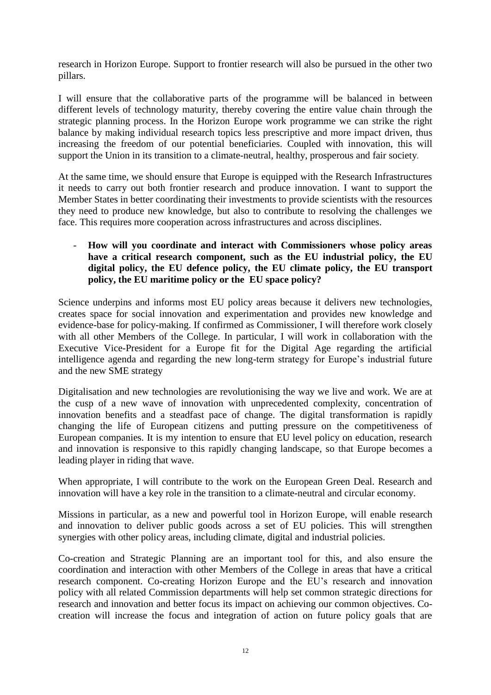research in Horizon Europe. Support to frontier research will also be pursued in the other two pillars.

I will ensure that the collaborative parts of the programme will be balanced in between different levels of technology maturity, thereby covering the entire value chain through the strategic planning process. In the Horizon Europe work programme we can strike the right balance by making individual research topics less prescriptive and more impact driven, thus increasing the freedom of our potential beneficiaries. Coupled with innovation, this will support the Union in its transition to a climate-neutral, healthy, prosperous and fair society*.*

At the same time, we should ensure that Europe is equipped with the Research Infrastructures it needs to carry out both frontier research and produce innovation. I want to support the Member States in better coordinating their investments to provide scientists with the resources they need to produce new knowledge, but also to contribute to resolving the challenges we face. This requires more cooperation across infrastructures and across disciplines.

# - **How will you coordinate and interact with Commissioners whose policy areas have a critical research component, such as the EU industrial policy, the EU digital policy, the EU defence policy, the EU climate policy, the EU transport policy, the EU maritime policy or the EU space policy?**

Science underpins and informs most EU policy areas because it delivers new technologies, creates space for social innovation and experimentation and provides new knowledge and evidence-base for policy-making. If confirmed as Commissioner, I will therefore work closely with all other Members of the College. In particular, I will work in collaboration with the Executive Vice-President for a Europe fit for the Digital Age regarding the artificial intelligence agenda and regarding the new long-term strategy for Europe's industrial future and the new SME strategy

Digitalisation and new technologies are revolutionising the way we live and work. We are at the cusp of a new wave of innovation with unprecedented complexity, concentration of innovation benefits and a steadfast pace of change. The digital transformation is rapidly changing the life of European citizens and putting pressure on the competitiveness of European companies. It is my intention to ensure that EU level policy on education, research and innovation is responsive to this rapidly changing landscape, so that Europe becomes a leading player in riding that wave.

When appropriate, I will contribute to the work on the European Green Deal. Research and innovation will have a key role in the transition to a climate-neutral and circular economy.

Missions in particular, as a new and powerful tool in Horizon Europe, will enable research and innovation to deliver public goods across a set of EU policies. This will strengthen synergies with other policy areas, including climate, digital and industrial policies.

Co-creation and Strategic Planning are an important tool for this, and also ensure the coordination and interaction with other Members of the College in areas that have a critical research component. Co-creating Horizon Europe and the EU's research and innovation policy with all related Commission departments will help set common strategic directions for research and innovation and better focus its impact on achieving our common objectives. Cocreation will increase the focus and integration of action on future policy goals that are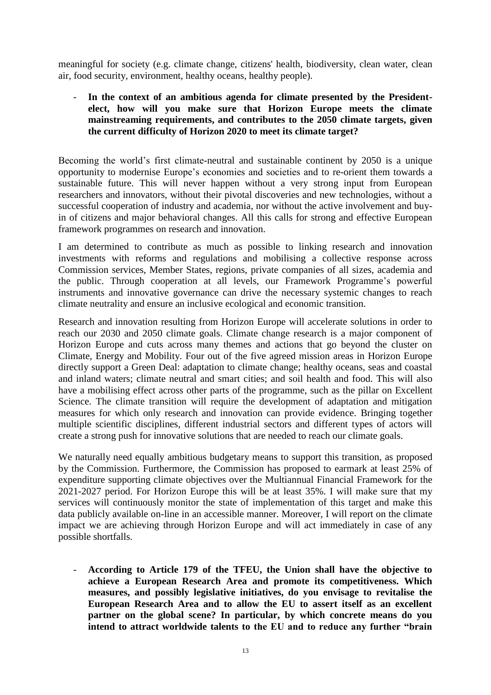meaningful for society (e.g. climate change, citizens' health, biodiversity, clean water, clean air, food security, environment, healthy oceans, healthy people).

- **In the context of an ambitious agenda for climate presented by the Presidentelect, how will you make sure that Horizon Europe meets the climate mainstreaming requirements, and contributes to the 2050 climate targets, given the current difficulty of Horizon 2020 to meet its climate target?**

Becoming the world's first climate-neutral and sustainable continent by 2050 is a unique opportunity to modernise Europe's economies and societies and to re-orient them towards a sustainable future. This will never happen without a very strong input from European researchers and innovators, without their pivotal discoveries and new technologies, without a successful cooperation of industry and academia, nor without the active involvement and buyin of citizens and major behavioral changes. All this calls for strong and effective European framework programmes on research and innovation.

I am determined to contribute as much as possible to linking research and innovation investments with reforms and regulations and mobilising a collective response across Commission services, Member States, regions, private companies of all sizes, academia and the public. Through cooperation at all levels, our Framework Programme's powerful instruments and innovative governance can drive the necessary systemic changes to reach climate neutrality and ensure an inclusive ecological and economic transition.

Research and innovation resulting from Horizon Europe will accelerate solutions in order to reach our 2030 and 2050 climate goals. Climate change research is a major component of Horizon Europe and cuts across many themes and actions that go beyond the cluster on Climate, Energy and Mobility. Four out of the five agreed mission areas in Horizon Europe directly support a Green Deal: adaptation to climate change; healthy oceans, seas and coastal and inland waters; climate neutral and smart cities; and soil health and food. This will also have a mobilising effect across other parts of the programme, such as the pillar on Excellent Science. The climate transition will require the development of adaptation and mitigation measures for which only research and innovation can provide evidence. Bringing together multiple scientific disciplines, different industrial sectors and different types of actors will create a strong push for innovative solutions that are needed to reach our climate goals.

We naturally need equally ambitious budgetary means to support this transition, as proposed by the Commission. Furthermore, the Commission has proposed to earmark at least 25% of expenditure supporting climate objectives over the Multiannual Financial Framework for the 2021-2027 period. For Horizon Europe this will be at least 35%. I will make sure that my services will continuously monitor the state of implementation of this target and make this data publicly available on-line in an accessible manner. Moreover, I will report on the climate impact we are achieving through Horizon Europe and will act immediately in case of any possible shortfalls.

- **According to Article 179 of the TFEU, the Union shall have the objective to achieve a European Research Area and promote its competitiveness. Which measures, and possibly legislative initiatives, do you envisage to revitalise the European Research Area and to allow the EU to assert itself as an excellent partner on the global scene? In particular, by which concrete means do you intend to attract worldwide talents to the EU and to reduce any further "brain**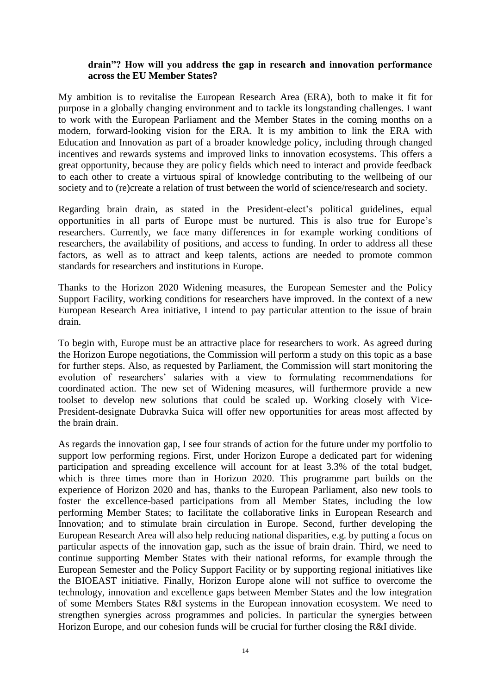### **drain"? How will you address the gap in research and innovation performance across the EU Member States?**

My ambition is to revitalise the European Research Area (ERA), both to make it fit for purpose in a globally changing environment and to tackle its longstanding challenges. I want to work with the European Parliament and the Member States in the coming months on a modern, forward-looking vision for the ERA. It is my ambition to link the ERA with Education and Innovation as part of a broader knowledge policy, including through changed incentives and rewards systems and improved links to innovation ecosystems. This offers a great opportunity, because they are policy fields which need to interact and provide feedback to each other to create a virtuous spiral of knowledge contributing to the wellbeing of our society and to (re)create a relation of trust between the world of science/research and society.

Regarding brain drain, as stated in the President-elect's political guidelines, equal opportunities in all parts of Europe must be nurtured. This is also true for Europe's researchers. Currently, we face many differences in for example working conditions of researchers, the availability of positions, and access to funding. In order to address all these factors, as well as to attract and keep talents, actions are needed to promote common standards for researchers and institutions in Europe.

Thanks to the Horizon 2020 Widening measures, the European Semester and the Policy Support Facility, working conditions for researchers have improved. In the context of a new European Research Area initiative, I intend to pay particular attention to the issue of brain drain.

To begin with, Europe must be an attractive place for researchers to work. As agreed during the Horizon Europe negotiations, the Commission will perform a study on this topic as a base for further steps. Also, as requested by Parliament, the Commission will start monitoring the evolution of researchers' salaries with a view to formulating recommendations for coordinated action. The new set of Widening measures, will furthermore provide a new toolset to develop new solutions that could be scaled up. Working closely with Vice-President-designate Dubravka Suica will offer new opportunities for areas most affected by the brain drain.

As regards the innovation gap, I see four strands of action for the future under my portfolio to support low performing regions. First, under Horizon Europe a dedicated part for widening participation and spreading excellence will account for at least 3.3% of the total budget, which is three times more than in Horizon 2020. This programme part builds on the experience of Horizon 2020 and has, thanks to the European Parliament, also new tools to foster the excellence-based participations from all Member States, including the low performing Member States; to facilitate the collaborative links in European Research and Innovation; and to stimulate brain circulation in Europe. Second, further developing the European Research Area will also help reducing national disparities, e.g. by putting a focus on particular aspects of the innovation gap, such as the issue of brain drain. Third, we need to continue supporting Member States with their national reforms, for example through the European Semester and the Policy Support Facility or by supporting regional initiatives like the BIOEAST initiative. Finally, Horizon Europe alone will not suffice to overcome the technology, innovation and excellence gaps between Member States and the low integration of some Members States R&I systems in the European innovation ecosystem. We need to strengthen synergies across programmes and policies. In particular the synergies between Horizon Europe, and our cohesion funds will be crucial for further closing the R&I divide.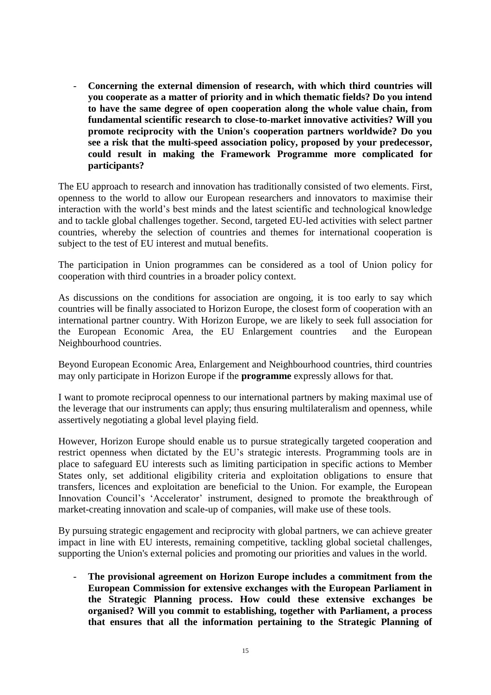- **Concerning the external dimension of research, with which third countries will you cooperate as a matter of priority and in which thematic fields? Do you intend to have the same degree of open cooperation along the whole value chain, from fundamental scientific research to close-to-market innovative activities? Will you promote reciprocity with the Union's cooperation partners worldwide? Do you see a risk that the multi-speed association policy, proposed by your predecessor, could result in making the Framework Programme more complicated for participants?**

The EU approach to research and innovation has traditionally consisted of two elements. First, openness to the world to allow our European researchers and innovators to maximise their interaction with the world's best minds and the latest scientific and technological knowledge and to tackle global challenges together. Second, targeted EU-led activities with select partner countries, whereby the selection of countries and themes for international cooperation is subject to the test of EU interest and mutual benefits.

The participation in Union programmes can be considered as a tool of Union policy for cooperation with third countries in a broader policy context.

As discussions on the conditions for association are ongoing, it is too early to say which countries will be finally associated to Horizon Europe, the closest form of cooperation with an international partner country. With Horizon Europe, we are likely to seek full association for the European Economic Area, the EU Enlargement countries and the European Neighbourhood countries.

Beyond European Economic Area, Enlargement and Neighbourhood countries, third countries may only participate in Horizon Europe if the **programme** expressly allows for that.

I want to promote reciprocal openness to our international partners by making maximal use of the leverage that our instruments can apply; thus ensuring multilateralism and openness, while assertively negotiating a global level playing field.

However, Horizon Europe should enable us to pursue strategically targeted cooperation and restrict openness when dictated by the EU's strategic interests. Programming tools are in place to safeguard EU interests such as limiting participation in specific actions to Member States only, set additional eligibility criteria and exploitation obligations to ensure that transfers, licences and exploitation are beneficial to the Union. For example, the European Innovation Council's 'Accelerator' instrument, designed to promote the breakthrough of market-creating innovation and scale-up of companies, will make use of these tools.

By pursuing strategic engagement and reciprocity with global partners, we can achieve greater impact in line with EU interests, remaining competitive, tackling global societal challenges, supporting the Union's external policies and promoting our priorities and values in the world.

- **The provisional agreement on Horizon Europe includes a commitment from the European Commission for extensive exchanges with the European Parliament in the Strategic Planning process. How could these extensive exchanges be organised? Will you commit to establishing, together with Parliament, a process that ensures that all the information pertaining to the Strategic Planning of**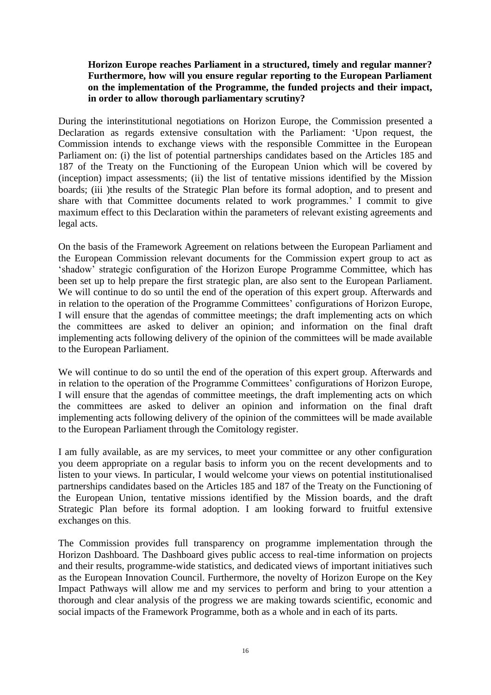# **Horizon Europe reaches Parliament in a structured, timely and regular manner? Furthermore, how will you ensure regular reporting to the European Parliament on the implementation of the Programme, the funded projects and their impact, in order to allow thorough parliamentary scrutiny?**

During the interinstitutional negotiations on Horizon Europe, the Commission presented a Declaration as regards extensive consultation with the Parliament: 'Upon request, the Commission intends to exchange views with the responsible Committee in the European Parliament on: (i) the list of potential partnerships candidates based on the Articles 185 and 187 of the Treaty on the Functioning of the European Union which will be covered by (inception) impact assessments; (ii) the list of tentative missions identified by the Mission boards; (iii) the results of the Strategic Plan before its formal adoption, and to present and share with that Committee documents related to work programmes.' I commit to give maximum effect to this Declaration within the parameters of relevant existing agreements and legal acts.

On the basis of the Framework Agreement on relations between the European Parliament and the European Commission relevant documents for the Commission expert group to act as 'shadow' strategic configuration of the Horizon Europe Programme Committee, which has been set up to help prepare the first strategic plan, are also sent to the European Parliament. We will continue to do so until the end of the operation of this expert group. Afterwards and in relation to the operation of the Programme Committees' configurations of Horizon Europe, I will ensure that the agendas of committee meetings; the draft implementing acts on which the committees are asked to deliver an opinion; and information on the final draft implementing acts following delivery of the opinion of the committees will be made available to the European Parliament.

We will continue to do so until the end of the operation of this expert group. Afterwards and in relation to the operation of the Programme Committees' configurations of Horizon Europe, I will ensure that the agendas of committee meetings, the draft implementing acts on which the committees are asked to deliver an opinion and information on the final draft implementing acts following delivery of the opinion of the committees will be made available to the European Parliament through the Comitology register.

I am fully available, as are my services, to meet your committee or any other configuration you deem appropriate on a regular basis to inform you on the recent developments and to listen to your views. In particular, I would welcome your views on potential institutionalised partnerships candidates based on the Articles 185 and 187 of the Treaty on the Functioning of the European Union, tentative missions identified by the Mission boards, and the draft Strategic Plan before its formal adoption. I am looking forward to fruitful extensive exchanges on this.

The Commission provides full transparency on programme implementation through the Horizon Dashboard. The Dashboard gives public access to real-time information on projects and their results, programme-wide statistics, and dedicated views of important initiatives such as the European Innovation Council. Furthermore, the novelty of Horizon Europe on the Key Impact Pathways will allow me and my services to perform and bring to your attention a thorough and clear analysis of the progress we are making towards scientific, economic and social impacts of the Framework Programme, both as a whole and in each of its parts.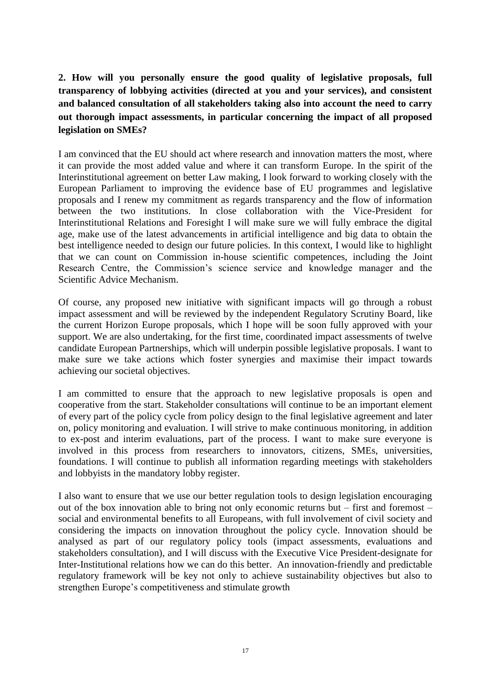# **2. How will you personally ensure the good quality of legislative proposals, full transparency of lobbying activities (directed at you and your services), and consistent and balanced consultation of all stakeholders taking also into account the need to carry out thorough impact assessments, in particular concerning the impact of all proposed legislation on SMEs?**

I am convinced that the EU should act where research and innovation matters the most, where it can provide the most added value and where it can transform Europe. In the spirit of the Interinstitutional agreement on better Law making, I look forward to working closely with the European Parliament to improving the evidence base of EU programmes and legislative proposals and I renew my commitment as regards transparency and the flow of information between the two institutions. In close collaboration with the Vice-President for Interinstitutional Relations and Foresight I will make sure we will fully embrace the digital age, make use of the latest advancements in artificial intelligence and big data to obtain the best intelligence needed to design our future policies. In this context, I would like to highlight that we can count on Commission in-house scientific competences, including the Joint Research Centre, the Commission's science service and knowledge manager and the Scientific Advice Mechanism.

Of course, any proposed new initiative with significant impacts will go through a robust impact assessment and will be reviewed by the independent Regulatory Scrutiny Board, like the current Horizon Europe proposals, which I hope will be soon fully approved with your support. We are also undertaking, for the first time, coordinated impact assessments of twelve candidate European Partnerships, which will underpin possible legislative proposals. I want to make sure we take actions which foster synergies and maximise their impact towards achieving our societal objectives.

I am committed to ensure that the approach to new legislative proposals is open and cooperative from the start. Stakeholder consultations will continue to be an important element of every part of the policy cycle from policy design to the final legislative agreement and later on, policy monitoring and evaluation. I will strive to make continuous monitoring, in addition to ex-post and interim evaluations, part of the process. I want to make sure everyone is involved in this process from researchers to innovators, citizens, SMEs, universities, foundations. I will continue to publish all information regarding meetings with stakeholders and lobbyists in the mandatory lobby register.

I also want to ensure that we use our better regulation tools to design legislation encouraging out of the box innovation able to bring not only economic returns but – first and foremost – social and environmental benefits to all Europeans, with full involvement of civil society and considering the impacts on innovation throughout the policy cycle. Innovation should be analysed as part of our regulatory policy tools (impact assessments, evaluations and stakeholders consultation), and I will discuss with the Executive Vice President-designate for Inter-Institutional relations how we can do this better. An innovation-friendly and predictable regulatory framework will be key not only to achieve sustainability objectives but also to strengthen Europe's competitiveness and stimulate growth